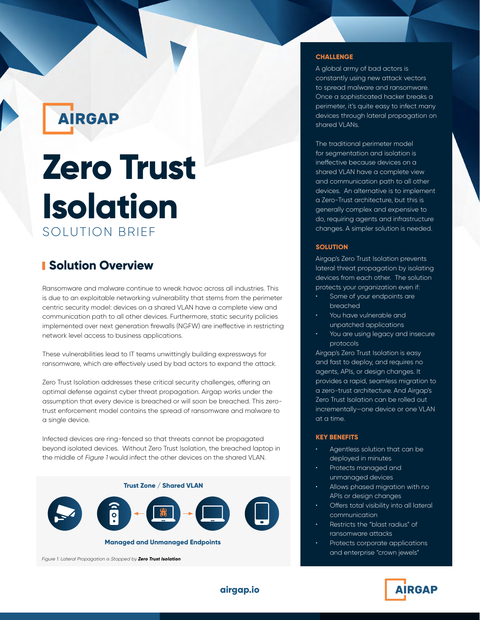**AIRGAP** 

# **Zero Trust Isolation** SOLUTION BRIEF

# **Solution Overview**

Ransomware and malware continue to wreak havoc across all industries. This is due to an exploitable networking vulnerability that stems from the perimeter centric security model: devices on a shared VLAN have a complete view and communication path to all other devices. Furthermore, static security policies implemented over next generation firewalls (NGFW) are ineffective in restricting network level access to business applications.

These vulnerabilities lead to IT teams unwittingly building expressways for ransomware, which are effectively used by bad actors to expand the attack.

Zero Trust Isolation addresses these critical security challenges, offering an optimal defense against cyber threat propagation. Airgap works under the assumption that every device is breached or will soon be breached. This zerotrust enforcement model contains the spread of ransomware and malware to a single device.

Infected devices are ring-fenced so that threats cannot be propagated beyond isolated devices. Without Zero Trust Isolation, the breached laptop in the middle of Figure 1 would infect the other devices on the shared VLAN.



#### **CHALLENGE**

A global army of bad actors is constantly using new attack vectors to spread malware and ransomware. Once a sophisticated hacker breaks a perimeter, it's quite easy to infect many devices through lateral propagation on shared VLANs.

The traditional perimeter model for segmentation and isolation is ineffective because devices on a shared VLAN have a complete view and communication path to all other devices. An alternative is to implement a Zero-Trust architecture, but this is generally complex and expensive to do, requiring agents and infrastructure changes. A simpler solution is needed.

#### **SOLUTION**

Airgap's Zero Trust Isolation prevents lateral threat propagation by isolating devices from each other. The solution protects your organization even if:

- Some of your endpoints are breached
- You have vulnerable and unpatched applications
- You are using legacy and insecure protocols

Airgap's Zero Trust Isolation is easy and fast to deploy, and requires no agents, APIs, or design changes. It provides a rapid, seamless migration to a zero-trust architecture. And Airgap's Zero Trust Isolation can be rolled out incrementally—one device or one VLAN at a time.

### **KEY BENEFITS**

- Agentless solution that can be deployed in minutes
- Protects managed and unmanaged devices
- Allows phased migration with no APIs or design changes
- Offers total visibility into all lateral communication
- Restricts the "blast radius" of ransomware attacks
- Protects corporate applications and enterprise "crown jewels"



**airgap.io**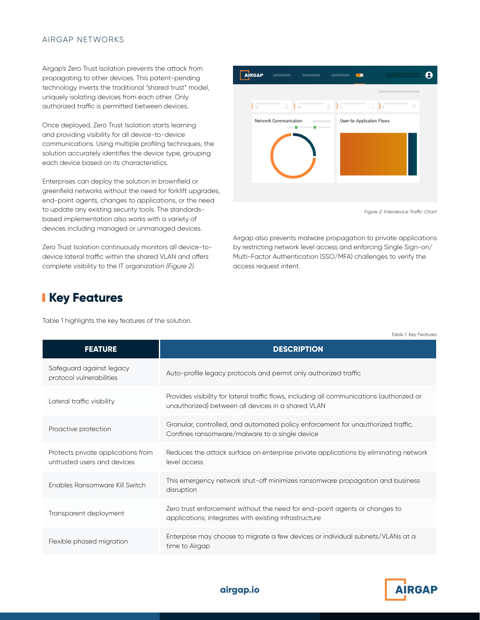#### AIRGAP NETWORKS

Airgap's Zero Trust Isolation prevents the attack from propagating to other devices. This patent-pending technology inverts the traditional "shared trust" model, uniquely isolating devices from each other. Only authorized traffic is permitted between devices.

Once deployed, Zero Trust Isolation starts learning and providing visibility for all device-to-device communications. Using multiple profiling techniques, the solution accurately identifies the device type, grouping each device based on its characteristics.

Enterprises can deploy the solution in brownfield or greenfield networks without the need for forklift upgrades, end-point agents, changes to applications, or the need to update any existing security tools. The standardsbased implementation also works with a variety of devices including managed or unmanaged devices.

Zero Trust Isolation continuously monitors all device-todevice lateral traffic within the shared VLAN and offers complete visibility to the IT organization (Figure 2).



Figure 2: Interdevice Traffic Chart

Airgap also prevents malware propagation to private applications by restricting network level access and enforcing Single Sign-on/ Multi-Factor Authentication (SSO/MFA) challenges to verify the access request intent.

## **Key Features**

Table 1 highlights the key features of the solution.

| <b>FEATURE</b>                                                    | <b>DESCRIPTION</b>                                                                                                                               |
|-------------------------------------------------------------------|--------------------------------------------------------------------------------------------------------------------------------------------------|
| Safeguard against legacy<br>protocol vulnerabilities              | Auto-profile legacy protocols and permit only authorized traffic                                                                                 |
| Lateral traffic visibility                                        | Provides visibility for lateral traffic flows, including all communications (authorized or<br>unauthorized) between all devices in a shared VLAN |
| Proactive protection                                              | Granular, controlled, and automated policy enforcement for unauthorized traffic.<br>Confines ransomware/malware to a single device               |
| Protects private applications from<br>untrusted users and devices | Reduces the attack surface on enterprise private applications by eliminating network<br>level access                                             |
| Enables Ransomware Kill Switch                                    | This emergency network shut-off minimizes ransomware propagation and business<br>disruption                                                      |
| Transparent deployment                                            | Zero trust enforcement without the need for end-point agents or changes to<br>applications; integrates with existing infrastructure              |
| Flexible phased migration                                         | Enterprise may choose to migrate a few devices or individual subnets/VLANs at a<br>time to Airgap                                                |

Table 1: Key Features